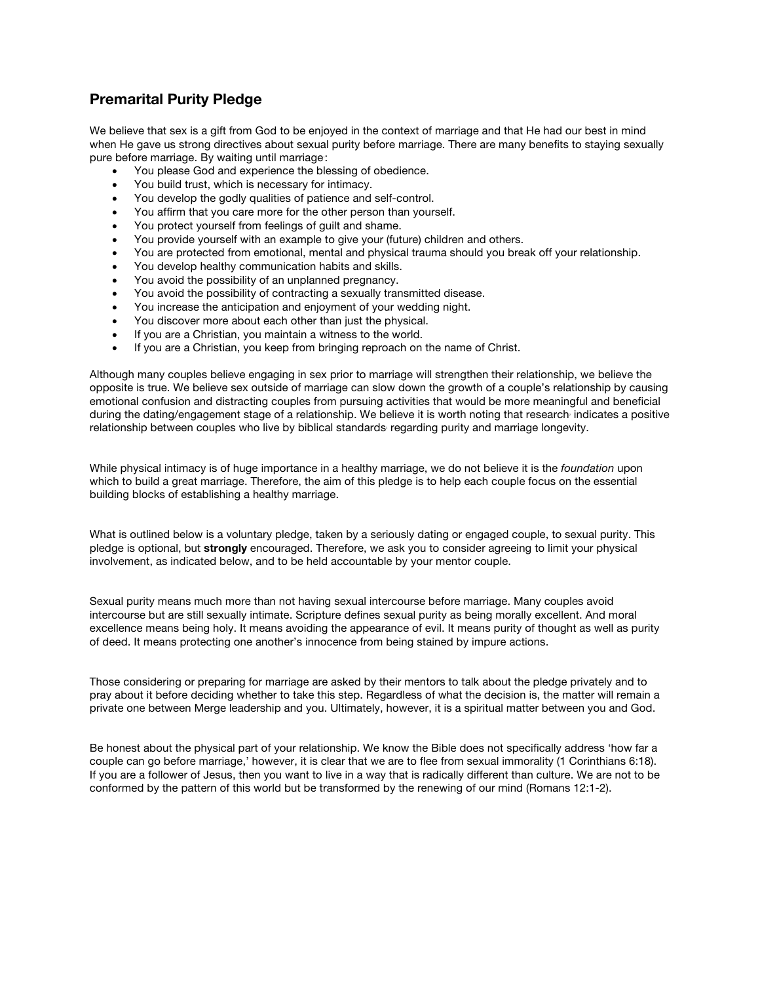## **Premarital Purity Pledge**

We believe that sex is a gift from God to be enjoyed in the context of marriage and that He had our best in mind when He gave us strong directives about sexual purity before marriage. There are many benefits to staying sexually pure before marriage. By waiting until marriage:

- You please God and experience the blessing of obedience.
- You build trust, which is necessary for intimacy.
- You develop the godly qualities of patience and self-control.
- You affirm that you care more for the other person than yourself.
- You protect yourself from feelings of guilt and shame.
- You provide yourself with an example to give your (future) children and others.
- You are protected from emotional, mental and physical trauma should you break off your relationship.
- You develop healthy communication habits and skills.
- You avoid the possibility of an unplanned pregnancy.
- You avoid the possibility of contracting a sexually transmitted disease.
- You increase the anticipation and enjoyment of your wedding night.
- You discover more about each other than just the physical.
- If you are a Christian, you maintain a witness to the world.
- If you are a Christian, you keep from bringing reproach on the name of Christ.

Although many couples believe engaging in sex prior to marriage will strengthen their relationship, we believe the opposite is true. We believe sex outside of marriage can slow down the growth of a couple's relationship by causing emotional confusion and distracting couples from pursuing activities that would be more meaningful and beneficial during the dating/engagement stage of a relationship. We believe it is worth noting that research indicates a positive relationship between couples who live by biblical standards regarding purity and marriage longevity.

While physical intimacy is of huge importance in a healthy marriage, we do not believe it is the *foundation* upon which to build a great marriage. Therefore, the aim of this pledge is to help each couple focus on the essential building blocks of establishing a healthy marriage.

What is outlined below is a voluntary pledge, taken by a seriously dating or engaged couple, to sexual purity. This pledge is optional, but **strongly** encouraged. Therefore, we ask you to consider agreeing to limit your physical involvement, as indicated below, and to be held accountable by your mentor couple.

Sexual purity means much more than not having sexual intercourse before marriage. Many couples avoid intercourse but are still sexually intimate. Scripture defines sexual purity as being morally excellent. And moral excellence means being holy. It means avoiding the appearance of evil. It means purity of thought as well as purity of deed. It means protecting one another's innocence from being stained by impure actions.

Those considering or preparing for marriage are asked by their mentors to talk about the pledge privately and to pray about it before deciding whether to take this step. Regardless of what the decision is, the matter will remain a private one between Merge leadership and you. Ultimately, however, it is a spiritual matter between you and God.

Be honest about the physical part of your relationship. We know the Bible does not specifically address 'how far a couple can go before marriage,' however, it is clear that we are to flee from sexual immorality (1 Corinthians 6:18). If you are a follower of Jesus, then you want to live in a way that is radically different than culture. We are not to be conformed by the pattern of this world but be transformed by the renewing of our mind (Romans 12:1-2).